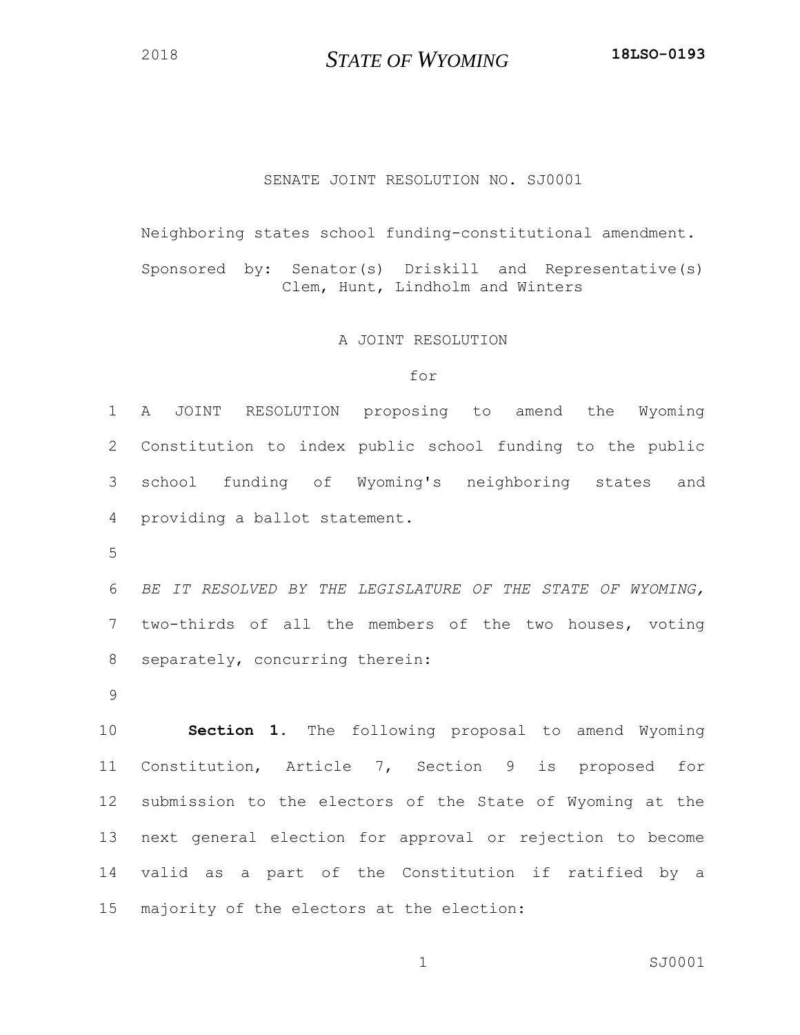*STATE OF WYOMING* **18LSO-0193**

## SENATE JOINT RESOLUTION NO. SJ0001

Neighboring states school funding-constitutional amendment.

Sponsored by: Senator(s) Driskill and Representative(s) Clem, Hunt, Lindholm and Winters

## A JOINT RESOLUTION

## for

 A JOINT RESOLUTION proposing to amend the Wyoming Constitution to index public school funding to the public school funding of Wyoming's neighboring states and providing a ballot statement.

 *BE IT RESOLVED BY THE LEGISLATURE OF THE STATE OF WYOMING,*  two-thirds of all the members of the two houses, voting separately, concurring therein:

 **Section 1.** The following proposal to amend Wyoming Constitution, Article 7, Section 9 is proposed for submission to the electors of the State of Wyoming at the next general election for approval or rejection to become valid as a part of the Constitution if ratified by a majority of the electors at the election:

1 SJ0001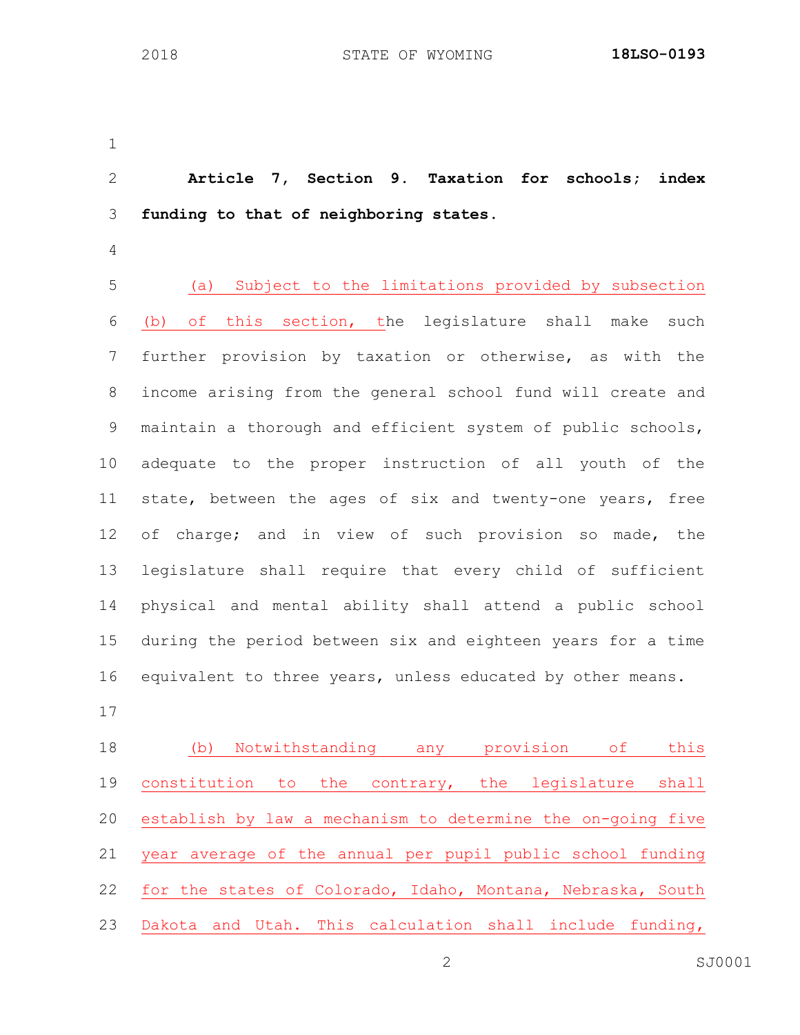**Article 7, Section 9. Taxation for schools; index funding to that of neighboring states.** (a) Subject to the limitations provided by subsection 6 (b) of this section, the legislature shall make such further provision by taxation or otherwise, as with the income arising from the general school fund will create and maintain a thorough and efficient system of public schools, adequate to the proper instruction of all youth of the state, between the ages of six and twenty-one years, free of charge; and in view of such provision so made, the legislature shall require that every child of sufficient physical and mental ability shall attend a public school during the period between six and eighteen years for a time equivalent to three years, unless educated by other means. (b) Notwithstanding any provision of this constitution to the contrary, the legislature shall establish by law a mechanism to determine the on-going five year average of the annual per pupil public school funding

for the states of Colorado, Idaho, Montana, Nebraska, South

Dakota and Utah. This calculation shall include funding,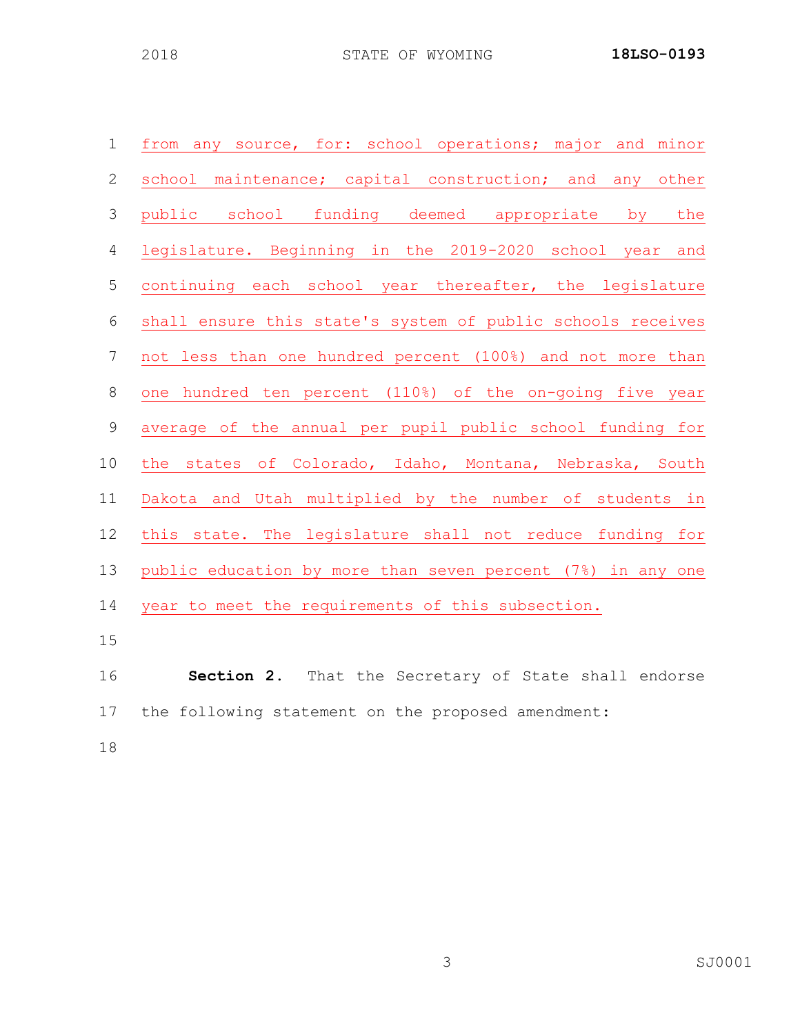| $\mathbf 1$    | from any source, for: school operations; major and minor    |
|----------------|-------------------------------------------------------------|
| $\mathbf{2}$   | school maintenance; capital construction; and any other     |
| 3              | public school funding deemed appropriate by the             |
| 4              | legislature. Beginning in the 2019-2020 school year and     |
| 5              | continuing each school year thereafter, the legislature     |
| $\sqrt{6}$     | shall ensure this state's system of public schools receives |
| 7              | not less than one hundred percent (100%) and not more than  |
| $8\,$          | one hundred ten percent (110%) of the on-going five year    |
| $\overline{9}$ | average of the annual per pupil public school funding for   |
| 10             | the states of Colorado, Idaho, Montana, Nebraska, South     |
| 11             | Dakota and Utah multiplied by the number of students in     |
| 12             | this state. The legislature shall not reduce funding for    |
| 13             | public education by more than seven percent (7%) in any one |
| 14             | year to meet the requirements of this subsection.           |
| 15             |                                                             |
| 16             | <b>Section 2.</b> That the Secretary of State shall endorse |
| 17             | the following statement on the proposed amendment:          |